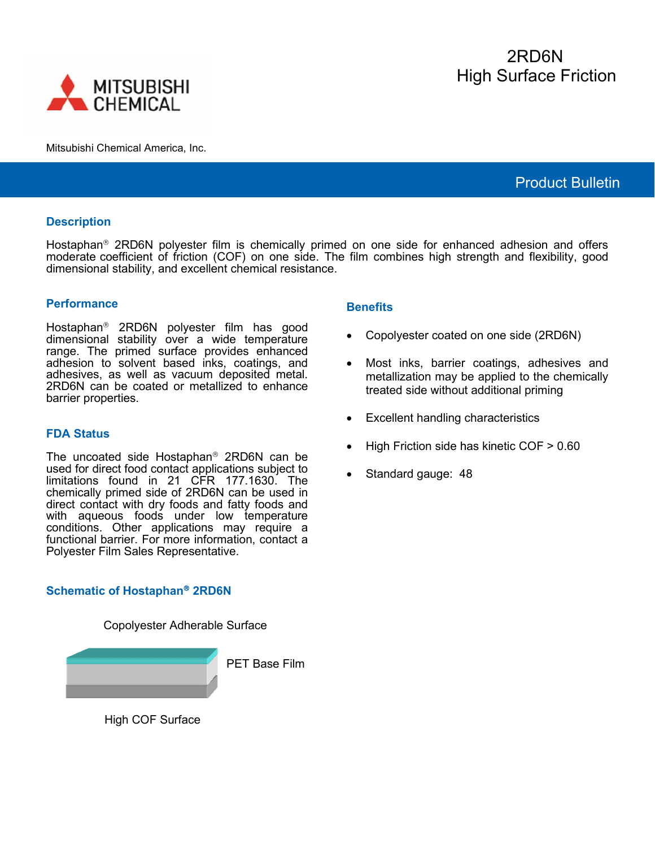



Mitsubishi Chemical America, Inc.

# Product Bulletin

# **Description**

Hostaphan<sup>®</sup> 2RD6N polyester film is chemically primed on one side for enhanced adhesion and offers moderate coefficient of friction (COF) on one side. The film combines high strength and flexibility, good dimensional stability, and excellent chemical resistance.

### **Performance**

Hostaphan<sup>®</sup> 2RD6N polyester film has good dimensional stability over a wide temperature range. The primed surface provides enhanced adhesion to solvent based inks, coatings, and adhesives, as well as vacuum deposited metal. 2RD6N can be coated or metallized to enhance barrier properties.

# **FDA Status**

The uncoated side Hostaphan<sup>®</sup> 2RD6N can be used for direct food contact applications subject to limitations found in 21 CFR 177.1630. The chemically primed side of 2RD6N can be used in direct contact with dry foods and fatty foods and with aqueous foods under low temperature conditions. Other applications may require a functional barrier. For more information, contact a Polyester Film Sales Representative.

# **Schematic of Hostaphan<sup>®</sup> 2RD6N**

# I

Copolyester Adherable Surface

PET Base Film

High COF Surface

### **Benefits**

- Copolyester coated on one side (2RD6N)
- Most inks, barrier coatings, adhesives and metallization may be applied to the chemically treated side without additional priming
- Excellent handling characteristics
- High Friction side has kinetic COF > 0.60
- Standard gauge: 48